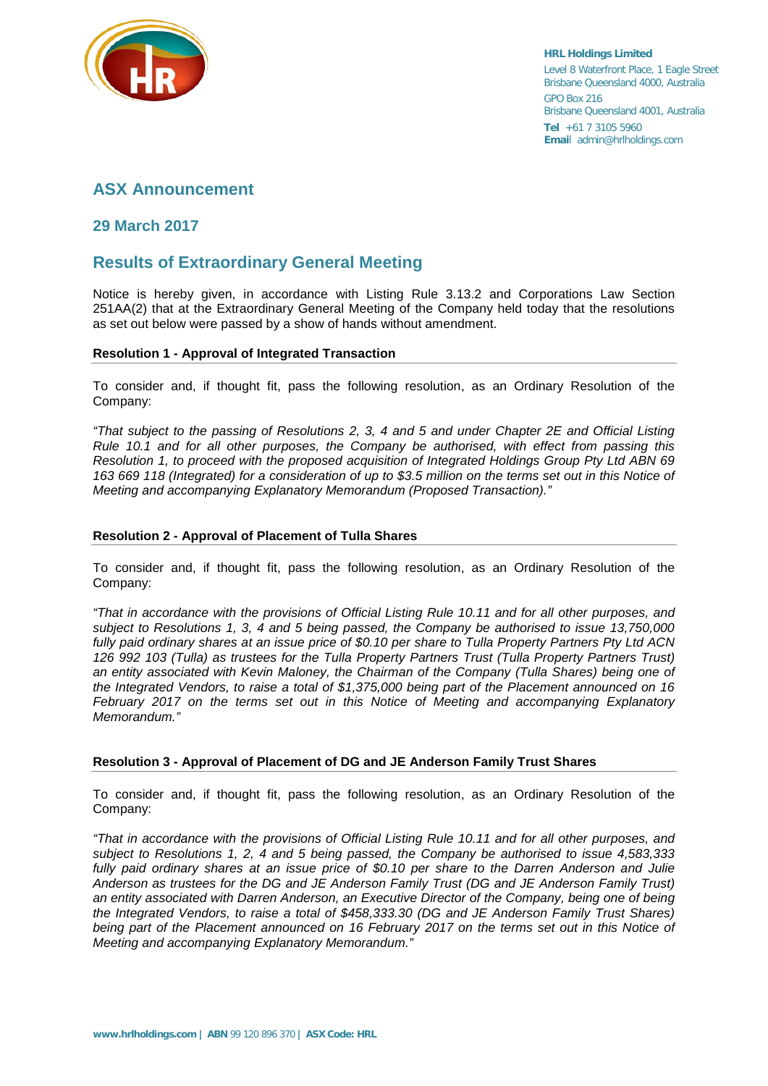

**HRL Holdings Limited** Level 8 Waterfront Place, 1 Eagle Street Brisbane Queensland 4000, Australia GPO Box 216 Brisbane Queensland 4001, Australia **Tel** +61 7 3105 5960 **Emai**l admin@hrlholdings.com

# **ASX Announcement**

## **29 March 2017**

# **Results of Extraordinary General Meeting**

Notice is hereby given, in accordance with Listing Rule 3.13.2 and Corporations Law Section 251AA(2) that at the Extraordinary General Meeting of the Company held today that the resolutions as set out below were passed by a show of hands without amendment.

#### **Resolution 1 - Approval of Integrated Transaction**

To consider and, if thought fit, pass the following resolution, as an Ordinary Resolution of the Company:

*"That subject to the passing of Resolutions 2, 3, 4 and 5 and under Chapter 2E and Official Listing Rule 10.1 and for all other purposes, the Company be authorised, with effect from passing this Resolution 1, to proceed with the proposed acquisition of Integrated Holdings Group Pty Ltd ABN 69 163 669 118 (Integrated) for a consideration of up to \$3.5 million on the terms set out in this Notice of Meeting and accompanying Explanatory Memorandum (Proposed Transaction)."*

#### **Resolution 2 - Approval of Placement of Tulla Shares**

To consider and, if thought fit, pass the following resolution, as an Ordinary Resolution of the Company:

*"That in accordance with the provisions of Official Listing Rule 10.11 and for all other purposes, and subject to Resolutions 1, 3, 4 and 5 being passed, the Company be authorised to issue 13,750,000 fully paid ordinary shares at an issue price of \$0.10 per share to Tulla Property Partners Pty Ltd ACN 126 992 103 (Tulla) as trustees for the Tulla Property Partners Trust (Tulla Property Partners Trust) an entity associated with Kevin Maloney, the Chairman of the Company (Tulla Shares) being one of the Integrated Vendors, to raise a total of \$1,375,000 being part of the Placement announced on 16 February 2017 on the terms set out in this Notice of Meeting and accompanying Explanatory Memorandum."*

### **Resolution 3 - Approval of Placement of DG and JE Anderson Family Trust Shares**

To consider and, if thought fit, pass the following resolution, as an Ordinary Resolution of the Company:

*"That in accordance with the provisions of Official Listing Rule 10.11 and for all other purposes, and subject to Resolutions 1, 2, 4 and 5 being passed, the Company be authorised to issue 4,583,333 fully paid ordinary shares at an issue price of \$0.10 per share to the Darren Anderson and Julie Anderson as trustees for the DG and JE Anderson Family Trust (DG and JE Anderson Family Trust) an entity associated with Darren Anderson, an Executive Director of the Company, being one of being the Integrated Vendors, to raise a total of \$458,333.30 (DG and JE Anderson Family Trust Shares) being part of the Placement announced on 16 February 2017 on the terms set out in this Notice of Meeting and accompanying Explanatory Memorandum."*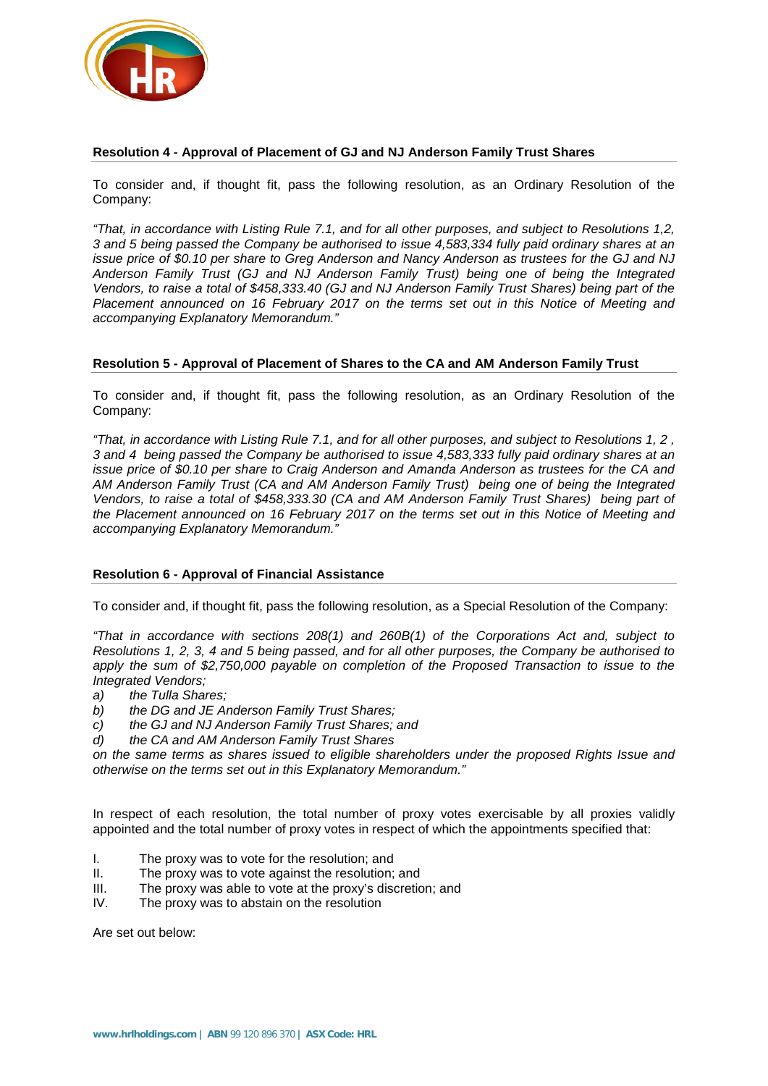

#### **Resolution 4 - Approval of Placement of GJ and NJ Anderson Family Trust Shares**

To consider and, if thought fit, pass the following resolution, as an Ordinary Resolution of the Company:

*"That, in accordance with Listing Rule 7.1, and for all other purposes, and subject to Resolutions 1,2, 3 and 5 being passed the Company be authorised to issue 4,583,334 fully paid ordinary shares at an issue price of \$0.10 per share to Greg Anderson and Nancy Anderson as trustees for the GJ and NJ Anderson Family Trust (GJ and NJ Anderson Family Trust) being one of being the Integrated Vendors, to raise a total of \$458,333.40 (GJ and NJ Anderson Family Trust Shares) being part of the Placement announced on 16 February 2017 on the terms set out in this Notice of Meeting and accompanying Explanatory Memorandum."*

#### **Resolution 5 - Approval of Placement of Shares to the CA and AM Anderson Family Trust**

To consider and, if thought fit, pass the following resolution, as an Ordinary Resolution of the Company:

*"That, in accordance with Listing Rule 7.1, and for all other purposes, and subject to Resolutions 1, 2 , 3 and 4 being passed the Company be authorised to issue 4,583,333 fully paid ordinary shares at an issue price of \$0.10 per share to Craig Anderson and Amanda Anderson as trustees for the CA and AM Anderson Family Trust (CA and AM Anderson Family Trust) being one of being the Integrated Vendors, to raise a total of \$458,333.30 (CA and AM Anderson Family Trust Shares) being part of the Placement announced on 16 February 2017 on the terms set out in this Notice of Meeting and accompanying Explanatory Memorandum."*

### **Resolution 6 - Approval of Financial Assistance**

To consider and, if thought fit, pass the following resolution, as a Special Resolution of the Company:

*"That in accordance with sections 208(1) and 260B(1) of the Corporations Act and, subject to Resolutions 1, 2, 3, 4 and 5 being passed, and for all other purposes, the Company be authorised to apply the sum of \$2,750,000 payable on completion of the Proposed Transaction to issue to the Integrated Vendors;*

- *a) the Tulla Shares;*
- *b) the DG and JE Anderson Family Trust Shares;*
- *c) the GJ and NJ Anderson Family Trust Shares; and*
- *d) the CA and AM Anderson Family Trust Shares*

*on the same terms as shares issued to eligible shareholders under the proposed Rights Issue and otherwise on the terms set out in this Explanatory Memorandum."*

In respect of each resolution, the total number of proxy votes exercisable by all proxies validly appointed and the total number of proxy votes in respect of which the appointments specified that:

- I. The proxy was to vote for the resolution; and
- II. The proxy was to vote against the resolution; and<br>III. The proxy was able to vote at the proxy's discretic
- The proxy was able to vote at the proxy's discretion; and
- IV. The proxy was to abstain on the resolution

Are set out below: